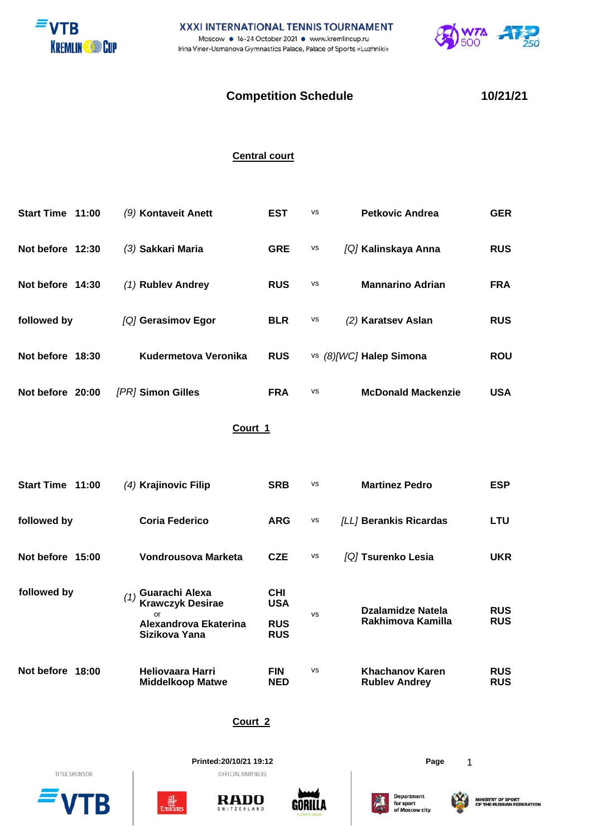



## **Competition Schedule 10/21/21**

## **Central court**

| Start Time 11:00 | (9) Kontaveit Anett  | <b>EST</b> | <b>VS</b> | <b>Petkovic Andrea</b>    | <b>GER</b> |
|------------------|----------------------|------------|-----------|---------------------------|------------|
| Not before 12:30 | (3) Sakkari Maria    | <b>GRE</b> | <b>VS</b> | [Q] Kalinskaya Anna       | <b>RUS</b> |
| Not before 14:30 | $(1)$ Rublev Andrey  | <b>RUS</b> | <b>VS</b> | <b>Mannarino Adrian</b>   | <b>FRA</b> |
| followed by      | [Q] Gerasimov Egor   | <b>BLR</b> | vs        | (2) Karatsev Aslan        | <b>RUS</b> |
| Not before 18:30 | Kudermetova Veronika | <b>RUS</b> |           | vs (8)[WC] Halep Simona   | <b>ROU</b> |
| Not before 20:00 | [PR] Simon Gilles    | <b>FRA</b> | <b>VS</b> | <b>McDonald Mackenzie</b> | <b>USA</b> |

## **Court 1**

| Start Time 11:00    | $(4)$ Krajinovic Filip                                                                    | <b>SRB</b>                                           | <b>VS</b> | <b>Martinez Pedro</b>                   | <b>ESP</b>               |
|---------------------|-------------------------------------------------------------------------------------------|------------------------------------------------------|-----------|-----------------------------------------|--------------------------|
| followed by         | <b>Coria Federico</b>                                                                     | <b>ARG</b>                                           | <b>VS</b> | <i>[LL]</i> Berankis Ricardas           | <b>LTU</b>               |
| Not before 15:00    | Vondrousova Marketa                                                                       | <b>CZE</b>                                           | <b>VS</b> | [Q] Tsurenko Lesia                      | <b>UKR</b>               |
| followed by         | Guarachi Alexa<br><b>Krawczyk Desirae</b><br>or<br>Alexandrova Ekaterina<br>Sizikova Yana | <b>CHI</b><br><b>USA</b><br><b>RUS</b><br><b>RUS</b> | <b>VS</b> | Dzalamidze Natela<br>Rakhimova Kamilla  | <b>RUS</b><br><b>RUS</b> |
| Not before<br>18:00 | <b>Heliovaara Harri</b><br><b>Middelkoop Matwe</b>                                        | <b>FIN</b><br><b>NED</b>                             | <b>VS</b> | Khachanov Karen<br><b>Rubley Andrey</b> | <b>RUS</b><br><b>RUS</b> |

**Court 2**

TITLE SPONSOR

B



**Printed:20/10/21 19:12 Page** 1

**RADO** 

RLAND



**Department<br>for sport<br>of Moscow city**